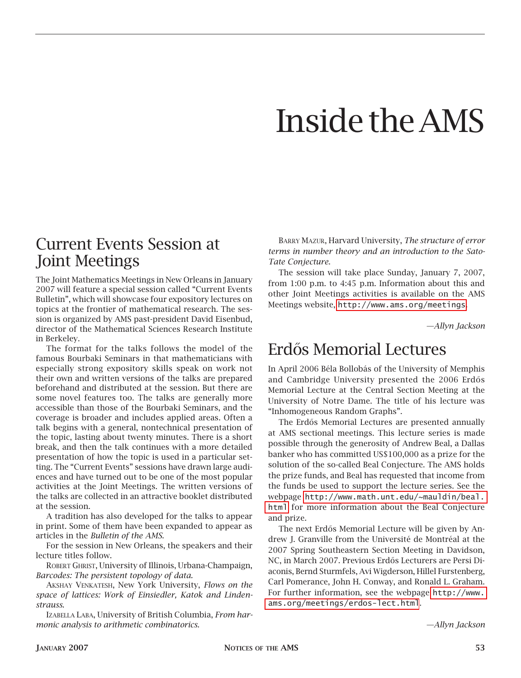## Inside the AMS

## Current Events Session at Joint Meetings

The Joint Mathematics Meetings in New Orleans in January 2007 will feature a special session called "Current Events Bulletin", which will showcase four expository lectures on topics at the frontier of mathematical research. The session is organized by AMS past-president David Eisenbud, director of the Mathematical Sciences Research Institute in Berkeley.

The format for the talks follows the model of the famous Bourbaki Seminars in that mathematicians with especially strong expository skills speak on work not their own and written versions of the talks are prepared beforehand and distributed at the session. But there are some novel features too. The talks are generally more accessible than those of the Bourbaki Seminars, and the coverage is broader and includes applied areas. Often a talk begins with a general, nontechnical presentation of the topic, lasting about twenty minutes. There is a short break, and then the talk continues with a more detailed presentation of how the topic is used in a particular setting. The "Current Events" sessions have drawn large audiences and have turned out to be one of the most popular activities at the Joint Meetings. The written versions of the talks are collected in an attractive booklet distributed at the session.

A tradition has also developed for the talks to appear in print. Some of them have been expanded to appear as articles in the *Bulletin of the AMS*.

For the session in New Orleans, the speakers and their lecture titles follow.

ROBERT GHRIST, University of Illinois, Urbana-Champaign, *Barcodes: The persistent topology of data.*

Akshay Venkatesh, New York University, *Flows on the space of lattices: Work of Einsiedler, Katok and Lindenstrauss*.

Izabella Laba, University of British Columbia, *From harmonic analysis to arithmetic combinatorics*.

Barry Mazur, Harvard University, *The structure of error terms in number theory and an introduction to the Sato-Tate Conjecture*.

The session will take place Sunday, January 7, 2007, from 1:00 p.m. to 4:45 p.m. Information about this and other Joint Meetings activities is available on the AMS Meetings website, <http://www.ams.org/meetings>.

*—Allyn Jackson*

## Erdős Memorial Lectures

In April 2006 Béla Bollobás of the University of Memphis and Cambridge University presented the 2006 Erdős Memorial Lecture at the Central Section Meeting at the University of Notre Dame. The title of his lecture was "Inhomogeneous Random Graphs".

The Erdős Memorial Lectures are presented annually at AMS sectional meetings. This lecture series is made possible through the generosity of Andrew Beal, a Dallas banker who has committed US\$100,000 as a prize for the solution of the so-called Beal Conjecture. The AMS holds the prize funds, and Beal has requested that income from the funds be used to support the lecture series. See the webpage [http://www.math.unt.edu/~mauldin/beal.](http://www.math.unt.edu/~mauldin/beal.html) [html](http://www.math.unt.edu/~mauldin/beal.html) for more information about the Beal Conjecture and prize.

The next Erdős Memorial Lecture will be given by Andrew J. Granville from the Université de Montréal at the 2007 Spring Southeastern Section Meeting in Davidson, NC, in March 2007. Previous Erdős Lecturers are Persi Diaconis, Bernd Sturmfels, Avi Wigderson, Hillel Furstenberg, Carl Pomerance, John H. Conway, and Ronald L. Graham. For further information, see the webpage [http://www.](http://www.ams.org/meetings/erdos-lect.html) [ams.org/meetings/erdos-lect.html](http://www.ams.org/meetings/erdos-lect.html).

*—Allyn Jackson*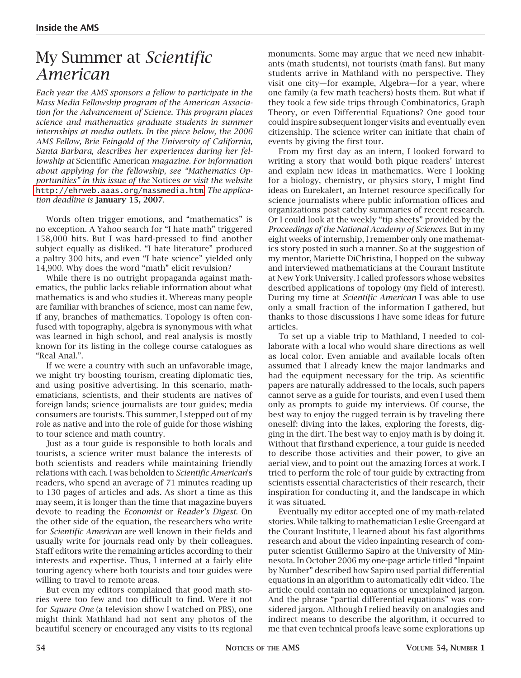## My Summer at *Scientific American*

*Each year the AMS sponsors a fellow to participate in the Mass Media Fellowship program of the American Association for the Advancement of Science. This program places science and mathematics graduate students in summer internships at media outlets. In the piece below, the 2006 AMS Fellow, Brie Feingold of the University of California, Santa Barbara, describes her experiences during her fellowship at* Scientific American *magazine. For information about applying for the fellowship, see "Mathematics Opportunities" in this issue of the* Notices *or visit the website* <http://ehrweb.aaas.org/massmedia.htm>. *The application deadline is* January 15, 2007.

Words often trigger emotions, and "mathematics" is no exception. A Yahoo search for "I hate math" triggered 158,000 hits. But I was hard-pressed to find another subject equally as disliked. "I hate literature" produced a paltry 300 hits, and even "I hate science" yielded only 14,900. Why does the word "math" elicit revulsion?

While there is no outright propaganda against mathematics, the public lacks reliable information about what mathematics is and who studies it. Whereas many people are familiar with branches of science, most can name few, if any, branches of mathematics. Topology is often confused with topography, algebra is synonymous with what was learned in high school, and real analysis is mostly known for its listing in the college course catalogues as "Real Anal.".

If we were a country with such an unfavorable image, we might try boosting tourism, creating diplomatic ties, and using positive advertising. In this scenario, mathematicians, scientists, and their students are natives of foreign lands; science journalists are tour guides; media consumers are tourists. This summer, I stepped out of my role as native and into the role of guide for those wishing to tour science and math country.

Just as a tour guide is responsible to both locals and tourists, a science writer must balance the interests of both scientists and readers while maintaining friendly relations with each. I was beholden to *Scientific American*'s readers, who spend an average of 71 minutes reading up to 130 pages of articles and ads. As short a time as this may seem, it is longer than the time that magazine buyers devote to reading the *Economist* or *Reader's Digest*. On the other side of the equation, the researchers who write for *Scientific American* are well known in their fields and usually write for journals read only by their colleagues. Staff editors write the remaining articles according to their interests and expertise. Thus, I interned at a fairly elite touring agency where both tourists and tour guides were willing to travel to remote areas.

But even my editors complained that good math stories were too few and too difficult to find. Were it not for *Square One* (a television show I watched on PBS), one might think Mathland had not sent any photos of the beautiful scenery or encouraged any visits to its regional

monuments. Some may argue that we need new inhabitants (math students), not tourists (math fans). But many students arrive in Mathland with no perspective. They visit one city—for example, Algebra—for a year, where one family (a few math teachers) hosts them. But what if they took a few side trips through Combinatorics, Graph Theory, or even Differential Equations? One good tour could inspire subsequent longer visits and eventually even citizenship. The science writer can initiate that chain of events by giving the first tour.

From my first day as an intern, I looked forward to writing a story that would both pique readers' interest and explain new ideas in mathematics. Were I looking for a biology, chemistry, or physics story, I might find ideas on Eurekalert, an Internet resource specifically for science journalists where public information offices and organizations post catchy summaries of recent research. Or I could look at the weekly "tip sheets" provided by the *Proceedings of the National Academy of Sciences*. But in my eight weeks of internship, I remember only one mathematics story posted in such a manner. So at the suggestion of my mentor, Mariette DiChristina, I hopped on the subway and interviewed mathematicians at the Courant Institute at New York University. I called professors whose websites described applications of topology (my field of interest). During my time at *Scientific American* I was able to use only a small fraction of the information I gathered, but thanks to those discussions I have some ideas for future articles.

To set up a viable trip to Mathland, I needed to collaborate with a local who would share directions as well as local color. Even amiable and available locals often assumed that I already knew the major landmarks and had the equipment necessary for the trip. As scientific papers are naturally addressed to the locals, such papers cannot serve as a guide for tourists, and even I used them only as prompts to guide my interviews. Of course, the best way to enjoy the rugged terrain is by traveling there oneself: diving into the lakes, exploring the forests, digging in the dirt. The best way to enjoy math is by doing it. Without that firsthand experience, a tour guide is needed to describe those activities and their power, to give an aerial view, and to point out the amazing forces at work. I tried to perform the role of tour guide by extracting from scientists essential characteristics of their research, their inspiration for conducting it, and the landscape in which it was situated.

Eventually my editor accepted one of my math-related stories. While talking to mathematician Leslie Greengard at the Courant Institute, I learned about his fast algorithms research and about the video inpainting research of computer scientist Guillermo Sapiro at the University of Minnesota. In October 2006 my one-page article titled "Inpaint by Number" described how Sapiro used partial differential equations in an algorithm to automatically edit video. The article could contain no equations or unexplained jargon. And the phrase "partial differential equations" was considered jargon. Although I relied heavily on analogies and indirect means to describe the algorithm, it occurred to me that even technical proofs leave some explorations up